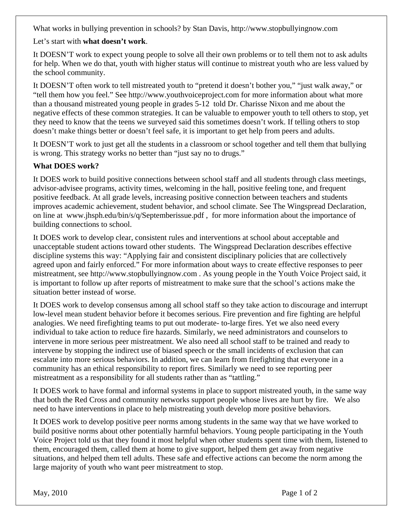What works in bullying prevention in schools? by Stan Davis, http://www.stopbullyingnow.com

Let's start with **what doesn't work**.

It DOESN'T work to expect young people to solve all their own problems or to tell them not to ask adults for help. When we do that, youth with higher status will continue to mistreat youth who are less valued by the school community.

It DOESN'T often work to tell mistreated youth to "pretend it doesn't bother you," "just walk away," or "tell them how you feel." See http://www.youthvoiceproject.com for more information about what more than a thousand mistreated young people in grades 5-12 told Dr. Charisse Nixon and me about the negative effects of these common strategies. It can be valuable to empower youth to tell others to stop, yet they need to know that the teens we surveyed said this sometimes doesn't work. If telling others to stop doesn't make things better or doesn't feel safe, it is important to get help from peers and adults.

It DOESN'T work to just get all the students in a classroom or school together and tell them that bullying is wrong. This strategy works no better than "just say no to drugs."

## **What DOES work?**

It DOES work to build positive connections between school staff and all students through class meetings, advisor-advisee programs, activity times, welcoming in the hall, positive feeling tone, and frequent positive feedback. At all grade levels, increasing positive connection between teachers and students improves academic achievement, student behavior, and school climate. See The Wingspread Declaration, on line at www.jhsph.edu/bin/s/q/Septemberissue.pdf , for more information about the importance of building connections to school.

It DOES work to develop clear, consistent rules and interventions at school about acceptable and unacceptable student actions toward other students. The Wingspread Declaration describes effective discipline systems this way: "Applying fair and consistent disciplinary policies that are collectively agreed upon and fairly enforced." For more information about ways to create effective responses to peer mistreatment, see http://www.stopbullyingnow.com . As young people in the Youth Voice Project said, it is important to follow up after reports of mistreatment to make sure that the school's actions make the situation better instead of worse.

It DOES work to develop consensus among all school staff so they take action to discourage and interrupt low-level mean student behavior before it becomes serious. Fire prevention and fire fighting are helpful analogies. We need firefighting teams to put out moderate- to-large fires. Yet we also need every individual to take action to reduce fire hazards. Similarly, we need administrators and counselors to intervene in more serious peer mistreatment. We also need all school staff to be trained and ready to intervene by stopping the indirect use of biased speech or the small incidents of exclusion that can escalate into more serious behaviors. In addition, we can learn from firefighting that everyone in a community has an ethical responsibility to report fires. Similarly we need to see reporting peer mistreatment as a responsibility for all students rather than as "tattling."

It DOES work to have formal and informal systems in place to support mistreated youth, in the same way that both the Red Cross and community networks support people whose lives are hurt by fire. We also need to have interventions in place to help mistreating youth develop more positive behaviors.

It DOES work to develop positive peer norms among students in the same way that we have worked to build positive norms about other potentially harmful behaviors. Young people participating in the Youth Voice Project told us that they found it most helpful when other students spent time with them, listened to them, encouraged them, called them at home to give support, helped them get away from negative situations, and helped them tell adults. These safe and effective actions can become the norm among the large majority of youth who want peer mistreatment to stop.